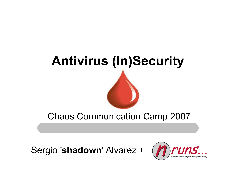

Chaos Communication Camp 2007

Sergio '**shadown**' Alvarez +

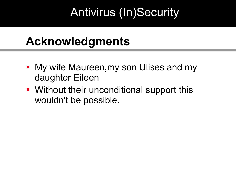#### **Acknowledgments**

- **My wife Maureen, my son Ulises and my** daughter Eileen
- Without their unconditional support this wouldn't be possible.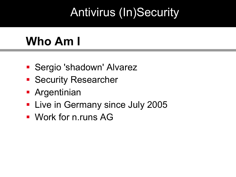# **Who Am I**

- **Sergio 'shadown' Alvarez**
- **Security Researcher**
- **-** Argentinian
- **Live in Germany since July 2005**
- Work for n.runs AG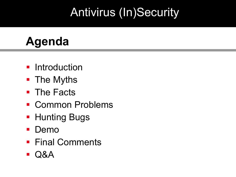## **Agenda**

- **Introduction**
- **The Myths**
- **The Facts**
- **E** Common Problems
- **Hunting Bugs**
- **Demo**
- **Final Comments**
- Q&A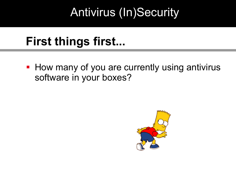## **First things first...**

**How many of you are currently using antivirus** software in your boxes?

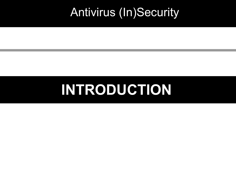# **INTRODUCTION**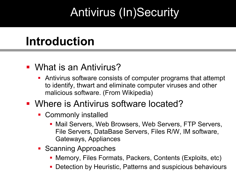### **Introduction**

#### What is an Antivirus?

 Antivirus software consists of computer programs that attempt to identify, thwart and eliminate computer viruses and other malicious software. (From Wikipedia)

#### **• Where is Antivirus software located?**

- **-** Commonly installed
	- **Mail Servers, Web Browsers, Web Servers, FTP Servers,** File Servers, DataBase Servers, Files R/W, IM software, Gateways, Appliances
- **Scanning Approaches** 
	- Memory, Files Formats, Packers, Contents (Exploits, etc)
	- Detection by Heuristic, Patterns and suspicious behaviours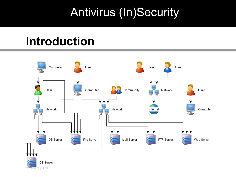#### **Introduction**

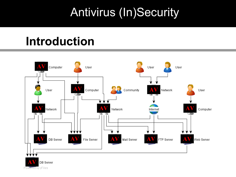#### **Introduction**

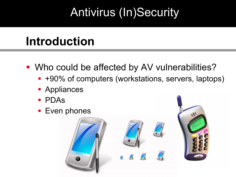# **Introduction**

- **Who could be affected by AV vulnerabilities?** 
	- +90% of computers (workstations, servers, laptops)
	- Appliances
	- PDAs
	- **Even phones**

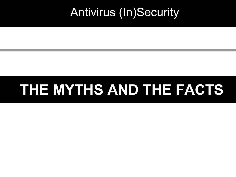# **THE MYTHS AND THE FACTS**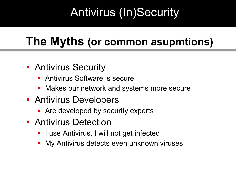## **The Myths (or common asupmtions)**

#### **- Antivirus Security**

- **Antivirus Software is secure**
- **Makes our network and systems more secure**
- **Antivirus Developers** 
	- **-** Are developed by security experts
- **Antivirus Detection** 
	- **I** use Antivirus, I will not get infected
	- **My Antivirus detects even unknown viruses**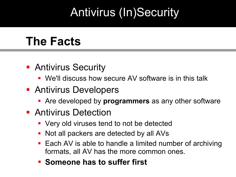#### **The Facts**

- **Antivirus Security** 
	- We'll discuss how secure AV software is in this talk
- **Antivirus Developers** 
	- Are developed by **programmers** as any other software
- **Antivirus Detection** 
	- **Very old viruses tend to not be detected**
	- Not all packers are detected by all AVs
	- Each AV is able to handle a limited number of archiving formats, all AV has the more common ones.
	- **E** Someone has to suffer first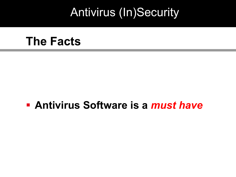#### **The Facts**

#### **Antivirus Software is a** *must have*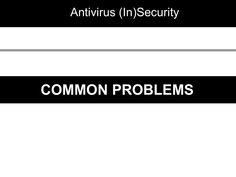# **COMMON PROBLEMS**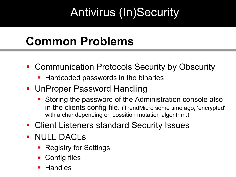## **Common Problems**

- **Communication Protocols Security by Obscurity** 
	- **Hardcoded passwords in the binaries**
- UnProper Password Handling
	- Storing the password of the Administration console also in the clients config file. (TrendMicro some time ago, 'encrypted' with a char depending on possition mutation algorithm.)
- **Client Listeners standard Security Issues**
- **NULL DACLS** 
	- **Registry for Settings**
	- **Config files**
	- Handles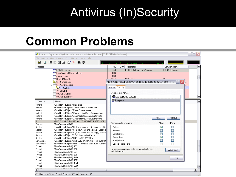#### **Common Problems**

|                              | <b>Af</b> Process Explorer - Sysinternals: www.sysinternals.com [TURION64\shadown]                         |                          |                            |                                                   |                                  |               |  |
|------------------------------|------------------------------------------------------------------------------------------------------------|--------------------------|----------------------------|---------------------------------------------------|----------------------------------|---------------|--|
| File                         | Options View Process Find Handle Users Help                                                                |                          |                            |                                                   |                                  |               |  |
| Ы<br>回                       | E Q<br><b>鹩</b> ⊕<br>目<br>18 X  <br>壁                                                                      |                          |                            |                                                   |                                  |               |  |
| Process                      |                                                                                                            | <b>PID</b>               |                            | CPU Description                                   | Company Name                     |               |  |
|                              | FRAVServer.exe                                                                                             | 748                      |                            | F-PROT Antivirus for Windows                      | <b>FRISK Software</b>            |               |  |
|                              | ThiectWinSockServiceV2.exe                                                                                 | 836                      |                            |                                                   |                                  |               |  |
|                              | mysgld-nt.exet                                                                                             | 860                      |                            |                                                   |                                  |               |  |
|                              | HPZIPM12.EXE                                                                                               | 1044                     |                            | <b>DELL DELL</b>                                  | <b>LID</b>                       |               |  |
|                              | <b>Research Service.exe</b>                                                                                |                          |                            | \RPC Control\OLE6239C16C1AD34D8DB32B376D1B07 Pr   | ? X                              | <b>BC</b>     |  |
|                              | □ SR_Watchdog.exe                                                                                          |                          |                            |                                                   |                                  |               |  |
|                              | SR_GUI.exe                                                                                                 | <b>Details</b>           | Security                   |                                                   |                                  | łС.,          |  |
|                              | sychost.exe                                                                                                |                          |                            |                                                   |                                  |               |  |
|                              | vmware-ufad.exe                                                                                            | Group or user names:     |                            |                                                   |                                  |               |  |
|                              | vmware-authd.exe                                                                                           |                          |                            | <b>122</b> ANONYMOUS LOGON                        |                                  |               |  |
|                              |                                                                                                            | <b>RE</b> Everyone       |                            |                                                   |                                  |               |  |
| Type                         | Name                                                                                                       |                          |                            |                                                   |                                  |               |  |
| Mutant                       | \BaseNamedObjects\RasPbFile                                                                                |                          |                            |                                                   |                                  |               |  |
| Mutant                       | \BaseNamedObjects\ZonesCacheCounterMutex                                                                   |                          |                            |                                                   |                                  |               |  |
| Mutant                       | \BaseNamedObjects\ZonesCounterMutex                                                                        |                          |                            |                                                   |                                  |               |  |
| Mutant                       | \BaseNamedObjects\ZonesLockedCacheCounterMutex                                                             |                          |                            |                                                   |                                  |               |  |
| Mutant                       | \BaseNamedObjects\ZoneAttributeCacheCounterMutex                                                           |                          |                            |                                                   |                                  |               |  |
| Mutant                       | \BaseNamedObjects\ZoneAttributeCacheCounterMutex                                                           |                          |                            |                                                   | Add<br>Remove                    |               |  |
| l Port                       | \RPC Control\OLE6239C16C1AD34D8DB32B376D1B07                                                               | Permissions for Everyone |                            |                                                   | Allow<br>Deny                    |               |  |
| Process                      | FPAVServer.exe(748)                                                                                        |                          |                            |                                                   |                                  |               |  |
| Section                      | \BaseNamedObjects\C:_Documents and Settings_LocalSe                                                        | Delete                   |                            |                                                   | ▽<br>H                           |               |  |
| Section                      | \BaseNamedObjects\C: Documents and Settings LocalSe                                                        | Execute                  |                            |                                                   | $\blacksquare$                   |               |  |
| Section                      | \BaseNamedObjects\C:_Documents and Settings_LocalSe                                                        | Synchronize              |                            |                                                   | V<br>$\Box$                      |               |  |
| Section                      | \BaseNamedObjects\SENS Information Cache                                                                   | Query State              |                            |                                                   | V<br>$\blacksquare$              |               |  |
| Section                      | \BaseNamedObjects\UrZonesSM_SYSTEM                                                                         | Modify State             |                            |                                                   | $\blacksquare$<br>$\blacksquare$ |               |  |
| Semaphore<br>Semaphore       | \BaseNamedObjects\shell.{A48F1A32-A340-11D1-BC6B-00<br>\BaseNamedObiects\shell.{210A4BA0-3AEA-1069-A2D9-08 |                          | <b>Special Permissions</b> |                                                   | ⊽                                |               |  |
| Thread                       | FPAVServer.exe(748): 752                                                                                   |                          |                            |                                                   |                                  |               |  |
| Thread                       | FPAVServer.exe(748): 752                                                                                   |                          |                            | For special permissions or for advanced settings, |                                  |               |  |
| Thread                       | FPAVServer.exe(748): 824                                                                                   | click Advanced.          |                            |                                                   | Advanced                         |               |  |
| Thread                       | FPAVServer.exe(748): 976                                                                                   |                          |                            |                                                   |                                  |               |  |
| Thread                       | FPAVServer.exe(748): 1480                                                                                  |                          |                            |                                                   | QK                               |               |  |
| Thread                       | FPAVServer.exe(748): 1972                                                                                  |                          |                            |                                                   |                                  |               |  |
| Thread                       | FPAVServer.exe(748): 1976                                                                                  |                          |                            |                                                   |                                  |               |  |
| l Thread                     | FPAVServer.exe(748): 2008                                                                                  |                          |                            |                                                   |                                  |               |  |
| المستحيلات                   | FDAMP -  -  (740), 1000                                                                                    |                          |                            |                                                   |                                  |               |  |
| $\left\langle \right\rangle$ | $\rm III$                                                                                                  |                          |                            |                                                   |                                  | $\rightarrow$ |  |

CPU Usage: 18.92% | Commit Charge: 28.74% | Processes: 65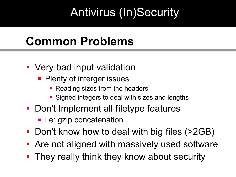## **Common Problems**

- **Very bad input validation** 
	- Plenty of interger issues
		- Reading sizes from the headers
		- **Signed integers to deal with sizes and lengths**
- Don't Implement all filetype features
	- **·** i.e: gzip concatenation
- Don't know how to deal with big files (>2GB)
- **Are not aligned with massively used software**
- **They really think they know about security**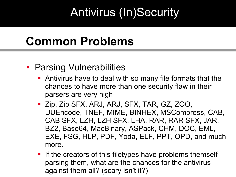#### **Common Problems**

#### **• Parsing Vulnerabilities**

- Antivirus have to deal with so many file formats that the chances to have more than one security flaw in their parsers are very high
- Zip, Zip SFX, ARJ, ARJ, SFX, TAR, GZ, ZOO, UUEncode, TNEF, MIME, BINHEX, MSCompress, CAB, CAB SFX, LZH, LZH SFX, LHA, RAR, RAR SFX, JAR, BZ2, Base64, MacBinary, ASPack, CHM, DOC, EML, EXE, FSG, HLP, PDF, Yoda, ELF, PPT, OPD, and much more.
- **If the creators of this filetypes have problems themself** parsing them, what are the chances for the antivirus against them all? (scary isn't it?)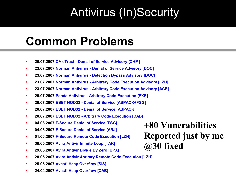#### **Common Problems**

- **25.07.2007 CA eTrust - Denial of [Service Advisory](file:///C:/ROOT/Conferencias/CCC%20Camp%202007/parsing-engines-advisories.php) [CHM]**
- **23.07.2007 [Norman Antivirus -](file:///C:/ROOT/Conferencias/CCC%20Camp%202007/parsing-engines-advisories.php) Denial of Service Advisory [DOC]**
- **23.07.2007 Norman Antivirus - [Detection Bypass Advisory](file:///C:/ROOT/Conferencias/CCC%20Camp%202007/parsing-engines-advisories.php) [DOC]**
- **23.07.2007 Norman Antivirus - Arbitrary [Code Execution Advisory](file:///C:/ROOT/Conferencias/CCC%20Camp%202007/parsing-engines-advisories.php) [LZH]**
- **23.07.2007 Norman Antivirus - Arbitrary [Code Execution Advisory](file:///C:/ROOT/Conferencias/CCC%20Camp%202007/parsing-engines-advisories.php) [ACE]**
- **20.07.2007 [Panda Antivirus Arbitrary Code Execution \[EXE\]](file:///C:/ROOT/Conferencias/CCC%20Camp%202007/parsing-engines-advisories.php)**
- **20.07.2007 ESET NOD32 Denial of [Service \[ASPACK+FSG\]](file:///C:/ROOT/Conferencias/CCC%20Camp%202007/parsing-engines-advisories.php)**
- **20.07.2007 ESET NOD32 Denial of [Service \[ASPACK\]](file:///C:/ROOT/Conferencias/CCC%20Camp%202007/parsing-engines-advisories.php)**
- **20.07.2007 ESET NOD32 Arbitrary [Code Execution \[CAB\]](file:///C:/ROOT/Conferencias/CCC%20Camp%202007/parsing-engines-advisories.php)**
- **04.06.2007 [F-Secure Denial of](file:///C:/ROOT/Conferencias/CCC%20Camp%202007/parsing-engines-advisories.php) Service [FSG]**
- **04.06.2007 [F-Secure Denial of](file:///C:/ROOT/Conferencias/CCC%20Camp%202007/parsing-engines-advisories.php) Service [ARJ]**
- **01.06.2007 [F-Secure Remote Code Execution \[LZH\]](file:///C:/ROOT/Conferencias/CCC%20Camp%202007/parsing-engines-advisories.php)**
- **30.05.2007 Avira Antivir [Infinite Loop \[TAR\]](file:///C:/ROOT/Conferencias/CCC%20Camp%202007/parsing-engines-advisories.php)**
- **29.05.2007 [Avira Antivir](file:///C:/ROOT/Conferencias/CCC%20Camp%202007/parsing-engines-advisories.php) Divide By Zero [UPX]**
- **28.05.2007 Avira Antivir Abritary [Remote Code Execution \[LZH\]](file:///C:/ROOT/Conferencias/CCC%20Camp%202007/parsing-engines-advisories.php)**
- **25.05.2007 [Avast! Heap Overflow \[SIS\]](file:///C:/ROOT/Conferencias/CCC%20Camp%202007/parsing-engines-advisories.php)**
- **24.04.2007 [Avast! Heap Overflow \[CAB\]](file:///C:/ROOT/Conferencias/CCC%20Camp%202007/parsing-engines-advisories.php)**

**+80 Vunerabilities Reported just by me @30 fixed**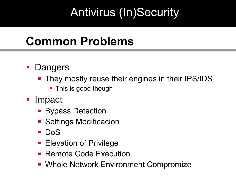#### **Common Problems**

#### **Dangers**

- **They mostly reuse their engines in their IPS/IDS** 
	- **This is good though**
- **Impact** 
	- **Bypass Detection**
	- **Settings Modificacion**
	- **DoS**
	- **Elevation of Privilege**
	- Remote Code Execution
	- **Whole Network Environment Compromize**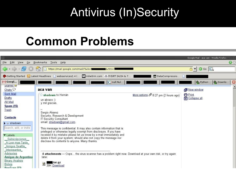#### **Common Problems**

|                                                                                                                                                                                                                                                                                                                                                                   |                                                                                                                                                                                                                                                                                                                                                                                                                                                                                                                                                                                                                                                                               |                                              | Google Mail - aca van - Mozilla Firefox         |
|-------------------------------------------------------------------------------------------------------------------------------------------------------------------------------------------------------------------------------------------------------------------------------------------------------------------------------------------------------------------|-------------------------------------------------------------------------------------------------------------------------------------------------------------------------------------------------------------------------------------------------------------------------------------------------------------------------------------------------------------------------------------------------------------------------------------------------------------------------------------------------------------------------------------------------------------------------------------------------------------------------------------------------------------------------------|----------------------------------------------|-------------------------------------------------|
| File Edit View<br>Go                                                                                                                                                                                                                                                                                                                                              | Bookmarks Tools<br>Help                                                                                                                                                                                                                                                                                                                                                                                                                                                                                                                                                                                                                                                       |                                              | $\bullet$ .                                     |
|                                                                                                                                                                                                                                                                                                                                                                   | https://mail.google.com/mail/?&ik=<br>$S_{\text{c}}$ rtm=1                                                                                                                                                                                                                                                                                                                                                                                                                                                                                                                                                                                                                    |                                              | 8 - 0 Go G                                      |
|                                                                                                                                                                                                                                                                                                                                                                   |                                                                                                                                                                                                                                                                                                                                                                                                                                                                                                                                                                                                                                                                               | DataCompressio                               |                                                 |
| MGoogl                                                                                                                                                                                                                                                                                                                                                            | $G$ null. Nul                                                                                                                                                                                                                                                                                                                                                                                                                                                                                                                                                                                                                                                                 |                                              | p. Python  2. Downlo<br>$\overline{\mathbf{z}}$ |
| Starred M<br>Chats $\heartsuit$                                                                                                                                                                                                                                                                                                                                   | aca van                                                                                                                                                                                                                                                                                                                                                                                                                                                                                                                                                                                                                                                                       |                                              | New window                                      |
| <b>Sent Mail</b><br>Drafts<br>All Mail<br><b>Spam (15)</b><br>Trash<br><b>Contacts</b><br>$\blacktriangleright$ shadown<br>Search, add, or invite<br>$\blacktriangleright$ Labels<br>Subscripciones<br>A Leer mas Tarde<br><b>Amigos Seattle</b><br>Interesantes<br>Advisories<br>Amigos de Argentina<br><b>Binary Analisis</b><br>Bolivia<br><b>BugTrag (23)</b> | shadown to Hernán<br>un abrazo :)<br>y mil gracias.<br>u.<br>Sergio Alvarez<br>Security, Research & Development<br><b>IT Security Consultant</b><br>email: shadown@gmail.com<br>This message is confidential. It may also contain information that is<br>privileged or otherwise legally exempt from disclosure. If you have<br>received it by mistake please let us know by e-mail immediately and<br>delete it from your system; should also not copy the message nor<br>disclose its contents to anyone. Many thanks.<br>4 attachments - Oops the virus scanner has a problem right now. Download at your own risk, or try again<br>later.<br>.tar.gz<br>ą<br>39K Download | More options $\oslash$ 8:27 pm (2 hours ago) | <b>骨Print</b><br><b>R</b> Collapse all          |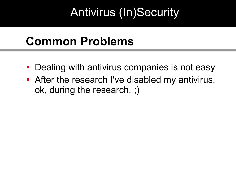#### **Common Problems**

- **Dealing with antivirus companies is not easy**
- After the research I've disabled my antivirus, ok, during the research. ;)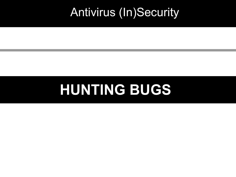# **HUNTING BUGS**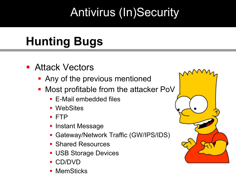# **Hunting Bugs**

- **Attack Vectors** 
	- **Any of the previous mentioned**
	- **Most profitable from the attacker PoV** 
		- E-Mail embedded files
		- WebSites
		- FTP
		- Instant Message
		- Gateway/Network Traffic (GW/IPS/IDS)
		- Shared Resources
		- **USB Storage Devices**
		- CD/DVD
		- MemSticks

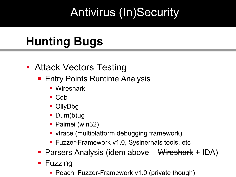# **Hunting Bugs**

#### **- Attack Vectors Testing**

- **Entry Points Runtime Analysis** 
	- **Wireshark**
	- $\blacksquare$  Cdb
	- **OllyDbg**
	- **Dum(b)ug**
	- **Paimei (win32)**
	- vtrace (multiplatform debugging framework)
	- **Fuzzer-Framework v1.0, Sysinernals tools, etc**
- **Parsers Analysis (idem above <del>Wireshark</del> + IDA)**
- **Fuzzing** 
	- **Peach, Fuzzer-Framework v1.0 (private though)**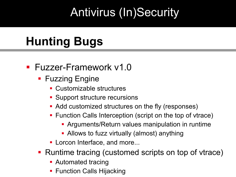# **Hunting Bugs**

#### **Fuzzer-Framework v1.0**

- **Fuzzing Engine** 
	- Customizable structures
	- **Support structure recursions**
	- Add customized structures on the fly (responses)
	- **Function Calls Interception (script on the top of vtrace)** 
		- **Arguments/Return values manipulation in runtime**
		- **-** Allows to fuzz virtually (almost) anything
	- **Lorcon Interface, and more...**
- Runtime tracing (customed scripts on top of vtrace)
	- **Automated tracing**
	- **Function Calls Hijacking**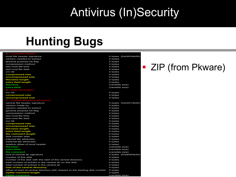**EXAMP** ZIP (from Pkware)

#### **Hunting Bugs**

| local file header signature                                                   | 4 bytes (0x04034b50) |
|-------------------------------------------------------------------------------|----------------------|
| version needed to extract                                                     | 2 bytes              |
| general purpose bit flag                                                      | 2 bytes              |
| compression method                                                            | 2 bytes              |
| last mod file time                                                            | 2 bytes              |
| last mod file date                                                            | 2 bytes              |
| $crc-32$                                                                      | 4 bytes              |
| compressed size                                                               | 4 bytes              |
| uncompressed size                                                             | 4 bytes              |
| filename length                                                               | 2 bytes              |
| extra field length                                                            | 2 bytes              |
| filename                                                                      | (variable size)      |
| extra field                                                                   | (variable size)      |
| <b>B.</b> Data descriptor:                                                    |                      |
| $crc-32$                                                                      | 4 bytes              |
| compressed size                                                               | 4 bytes              |
| uncompressed size                                                             | 4 bytes              |
| C. Central directory structure:                                               |                      |
| central file header signature                                                 | 4 bytes (0x02014b50) |
| version made by                                                               | 2 bytes              |
| version needed to extract                                                     | 2 bytes              |
| general purpose bit flag                                                      | 2 bytes              |
| compression method                                                            | 2 bytes              |
| last mod file time                                                            | 2 bytes              |
| last mod file date                                                            | 2 bytes              |
| $crc-32$                                                                      | 4 bytes              |
| compressed size                                                               | 4 bytes              |
| uncompressed size                                                             | 4 bytes              |
| filename length                                                               | 2 bytes              |
| extra field length                                                            | 2 bytes              |
| file comment length                                                           | 2 bytes              |
| disk number start                                                             | 2 bytes              |
| internal file attributes                                                      | 2 bytes              |
| external file attributes                                                      | 4 bytes              |
| relative offset of local header                                               | 4 bytes              |
| filename                                                                      | (variable size)      |
| extra field                                                                   | (variable size)      |
| file comment                                                                  | (variable size)      |
| end of central dir signature                                                  | 4 bytes (0x06054b50) |
| number of this disk                                                           | 2 bytes              |
| number of the disk with the start of the central directory                    | 2 bytes              |
| total number of entries in the central dir on this disk                       | 2 bytes              |
| total number of entries in the central dir                                    | 2 bytes              |
| size of the central directory                                                 | 4 bytes              |
| offset of start of central directory with respect to the starting disk number | 4 bytes              |
| zipfile comment length                                                        | 2 bytes              |
| zipfile comment                                                               | (variable size)      |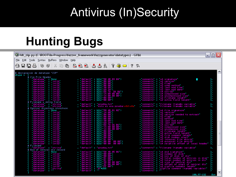## **Hunting Bugs**

|                                                                                                                                                                                                                                                                                                                                                                                                                                                                | 《添 fdt_zip.py (C:\ROOT\In-Progress\fuzzer_framework\fuzzgenerator\datatypes) - GVIM                                                                                                                                                            |                                                                                                                                                                                                                                                  | $\mathbf{L}$ $\mathbf{E}$ $\mathbf{X}$ |
|----------------------------------------------------------------------------------------------------------------------------------------------------------------------------------------------------------------------------------------------------------------------------------------------------------------------------------------------------------------------------------------------------------------------------------------------------------------|------------------------------------------------------------------------------------------------------------------------------------------------------------------------------------------------------------------------------------------------|--------------------------------------------------------------------------------------------------------------------------------------------------------------------------------------------------------------------------------------------------|----------------------------------------|
| File Edit Tools Syntax Buffers Window Help                                                                                                                                                                                                                                                                                                                                                                                                                     |                                                                                                                                                                                                                                                |                                                                                                                                                                                                                                                  |                                        |
|                                                                                                                                                                                                                                                                                                                                                                                                                                                                |                                                                                                                                                                                                                                                |                                                                                                                                                                                                                                                  |                                        |
| # declaracion de datatype 'ZIP'                                                                                                                                                                                                                                                                                                                                                                                                                                |                                                                                                                                                                                                                                                |                                                                                                                                                                                                                                                  |                                        |
| dtype =   [<br># Zip File Header                                                                                                                                                                                                                                                                                                                                                                                                                               |                                                                                                                                                                                                                                                |                                                                                                                                                                                                                                                  |                                        |
| 2:p File Header<br>'datatype' : 'inti6'<br>'datatype' : 'inti6'<br>'datatype' : 'inti6'<br>'datatype' : 'inti6'<br>'datatype' : 'inti6'<br>'datatype' : 'int32'<br>'datatype' : 'int32'<br>'datatype' : 'int32'<br>'datatype' : 'int32'<br>'dataty                                                                                                                                                                                                             | (default': b2s('50 48 03 04')<br>(default': b2s('00 00')<br>(default': b2s('00 00')<br>(default': b2s('00 00')<br>(default': b2s('00 00')<br>(default': b2s('30 80')<br>(default': b2s('30 80')<br>(default': b2s('30 80')<br>(default': b2s(' |                                                                                                                                                                                                                                                  |                                        |
|                                                                                                                                                                                                                                                                                                                                                                                                                                                                |                                                                                                                                                                                                                                                |                                                                                                                                                                                                                                                  |                                        |
|                                                                                                                                                                                                                                                                                                                                                                                                                                                                |                                                                                                                                                                                                                                                |                                                                                                                                                                                                                                                  |                                        |
|                                                                                                                                                                                                                                                                                                                                                                                                                                                                |                                                                                                                                                                                                                                                |                                                                                                                                                                                                                                                  |                                        |
|                                                                                                                                                                                                                                                                                                                                                                                                                                                                |                                                                                                                                                                                                                                                |                                                                                                                                                                                                                                                  |                                        |
|                                                                                                                                                                                                                                                                                                                                                                                                                                                                |                                                                                                                                                                                                                                                |                                                                                                                                                                                                                                                  |                                        |
|                                                                                                                                                                                                                                                                                                                                                                                                                                                                |                                                                                                                                                                                                                                                |                                                                                                                                                                                                                                                  |                                        |
|                                                                                                                                                                                                                                                                                                                                                                                                                                                                |                                                                                                                                                                                                                                                |                                                                                                                                                                                                                                                  |                                        |
|                                                                                                                                                                                                                                                                                                                                                                                                                                                                |                                                                                                                                                                                                                                                |                                                                                                                                                                                                                                                  |                                        |
| t Filename y estra field<br>4 Filename y estra field<br>6 'datatype' : 'string'<br># Central directory structure                                                                                                                                                                                                                                                                                                                                               |                                                                                                                                                                                                                                                |                                                                                                                                                                                                                                                  |                                        |
|                                                                                                                                                                                                                                                                                                                                                                                                                                                                |                                                                                                                                                                                                                                                | omments': 'filename (tama#o variable', 'default': 'prueba.txt'<br>Comments': 'filename (tama#o variable', 'default': 'esto es una prueba\x0d\x0a', 'comments': 'filename (tama#o                                                                 |                                        |
|                                                                                                                                                                                                                                                                                                                                                                                                                                                                |                                                                                                                                                                                                                                                |                                                                                                                                                                                                                                                  |                                        |
| : None                                                                                                                                                                                                                                                                                                                                                                                                                                                         |                                                                                                                                                                                                                                                |                                                                                                                                                                                                                                                  |                                        |
|                                                                                                                                                                                                                                                                                                                                                                                                                                                                |                                                                                                                                                                                                                                                |                                                                                                                                                                                                                                                  |                                        |
|                                                                                                                                                                                                                                                                                                                                                                                                                                                                |                                                                                                                                                                                                                                                |                                                                                                                                                                                                                                                  |                                        |
|                                                                                                                                                                                                                                                                                                                                                                                                                                                                |                                                                                                                                                                                                                                                |                                                                                                                                                                                                                                                  |                                        |
| : 'int16'<br>: 'int16'<br>: 'int16'<br>: 'int16'<br>: 'int16'                                                                                                                                                                                                                                                                                                                                                                                                  |                                                                                                                                                                                                                                                |                                                                                                                                                                                                                                                  |                                        |
|                                                                                                                                                                                                                                                                                                                                                                                                                                                                |                                                                                                                                                                                                                                                |                                                                                                                                                                                                                                                  |                                        |
|                                                                                                                                                                                                                                                                                                                                                                                                                                                                |                                                                                                                                                                                                                                                |                                                                                                                                                                                                                                                  |                                        |
| $\frac{1}{100}$<br>$\frac{1}{100}$<br>$\frac{1}{20}$<br>$\frac{1}{20}$                                                                                                                                                                                                                                                                                                                                                                                         |                                                                                                                                                                                                                                                |                                                                                                                                                                                                                                                  |                                        |
| $^{\prime}$ intie                                                                                                                                                                                                                                                                                                                                                                                                                                              |                                                                                                                                                                                                                                                |                                                                                                                                                                                                                                                  |                                        |
|                                                                                                                                                                                                                                                                                                                                                                                                                                                                |                                                                                                                                                                                                                                                |                                                                                                                                                                                                                                                  |                                        |
|                                                                                                                                                                                                                                                                                                                                                                                                                                                                |                                                                                                                                                                                                                                                |                                                                                                                                                                                                                                                  |                                        |
|                                                                                                                                                                                                                                                                                                                                                                                                                                                                |                                                                                                                                                                                                                                                |                                                                                                                                                                                                                                                  |                                        |
|                                                                                                                                                                                                                                                                                                                                                                                                                                                                |                                                                                                                                                                                                                                                |                                                                                                                                                                                                                                                  |                                        |
| Central direct<br>datatype<br>datatype<br>datatype<br>datatype<br>datatype<br>datatype<br>datatype<br>datatype<br>datatype<br>datatype<br>datatype<br>datatype<br>datatype<br>datatype<br>datatype<br>datatype<br>datatype<br>datatype<br>datatype<br>datatype<br>datatype<br>datatype<br>datatype<br><br>$: \begin{array}{c} \text{int16'} \\ \text{int16'} \\ \text{int16'} \\ \text{int16'} \\ \text{int2c'} \\ \text{int32'} \\ \text{int33'} \end{array}$ |                                                                                                                                                                                                                                                | (default: 1925(1988))<br>(default: 1925(1988) (1982))<br>(default: 1925(1988) (1987)<br>(default: 1925(1988))<br>(default: 1925(1988))<br>(default: 1925(1988))<br>(default: 1925(1988))<br>(default: 1925(1988))<br>(default: 1925(1988))<br>(d |                                        |
| # Filename                                                                                                                                                                                                                                                                                                                                                                                                                                                     |                                                                                                                                                                                                                                                |                                                                                                                                                                                                                                                  |                                        |
| ( 'datatype' : 'string'<br># End of central dir record                                                                                                                                                                                                                                                                                                                                                                                                         | default prueba.txt                                                                                                                                                                                                                             | , comments' : 'filename (tama#o variable'                                                                                                                                                                                                        |                                        |
| : None                                                                                                                                                                                                                                                                                                                                                                                                                                                         |                                                                                                                                                                                                                                                |                                                                                                                                                                                                                                                  |                                        |
|                                                                                                                                                                                                                                                                                                                                                                                                                                                                |                                                                                                                                                                                                                                                |                                                                                                                                                                                                                                                  |                                        |
|                                                                                                                                                                                                                                                                                                                                                                                                                                                                |                                                                                                                                                                                                                                                |                                                                                                                                                                                                                                                  |                                        |
|                                                                                                                                                                                                                                                                                                                                                                                                                                                                |                                                                                                                                                                                                                                                |                                                                                                                                                                                                                                                  |                                        |
| ndotatype<br>"datatype"<br>"datatype"<br>"datatype"<br>"datatype"<br>"datatype"<br>"datatype"<br>"datatype"<br>"datatype"<br>"datatype"<br>: 'intis'<br>: 'intis'<br>: 'intis'<br>: 'intis'<br>: 'intis'<br>: 'intis'                                                                                                                                                                                                                                          |                                                                                                                                                                                                                                                | comments': 'u4 end signature'<br>'default': b2s('50 4B 05 06')<br>'default': b2s('00 00')<br>'default': b2s('00 00')<br>'default': b2s('00 00')<br>'default': b2s('01 00')<br>'default': b2s('01 00')<br>'default': b2s('38 00 00 00')<br>'def   |                                        |
|                                                                                                                                                                                                                                                                                                                                                                                                                                                                |                                                                                                                                                                                                                                                |                                                                                                                                                                                                                                                  |                                        |
|                                                                                                                                                                                                                                                                                                                                                                                                                                                                |                                                                                                                                                                                                                                                |                                                                                                                                                                                                                                                  |                                        |
| string'                                                                                                                                                                                                                                                                                                                                                                                                                                                        |                                                                                                                                                                                                                                                |                                                                                                                                                                                                                                                  |                                        |
|                                                                                                                                                                                                                                                                                                                                                                                                                                                                |                                                                                                                                                                                                                                                |                                                                                                                                                                                                                                                  |                                        |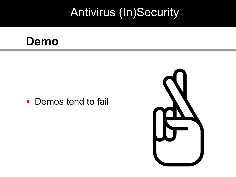#### **Demo**

• Demos tend to fail

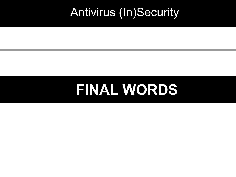# **FINAL WORDS**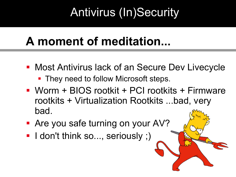## **A moment of meditation...**

- **Most Antivirus lack of an Secure Dev Livecycle** 
	- **They need to follow Microsoft steps.**
- Worm + BIOS rootkit + PCI rootkits + Firmware rootkits + Virtualization Rootkits ...bad, very bad.
- **Are you safe turning on your AV?**
- **I** don't think so..., seriously ;)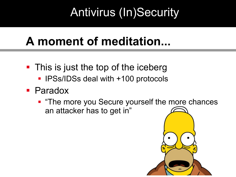# **A moment of meditation...**

- This is just the top of the iceberg
	- **IPSs/IDSs deal with +100 protocols**
- **Paradox** 
	- **The more you Secure yourself the more chances** an attacker has to get in"

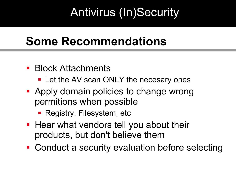#### **Some Recommendations**

- **Block Attachments** 
	- **Let the AV scan ONLY the necesary ones**
- **Apply domain policies to change wrong** permitions when possible
	- **Registry, Filesystem, etc.**
- **Hear what vendors tell you about their** products, but don't believe them
- Conduct a security evaluation before selecting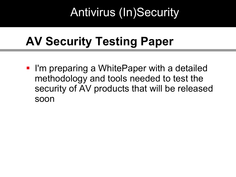# **AV Security Testing Paper**

**- I'm preparing a WhitePaper with a detailed** methodology and tools needed to test the security of AV products that will be released soon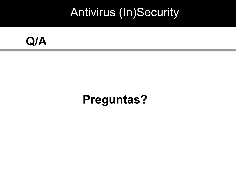

#### **Preguntas?**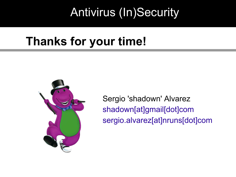#### **Thanks for your time!**



Sergio 'shadown' Alvarez shadown[at]gmail[dot]com sergio.alvarez[at]nruns[dot]com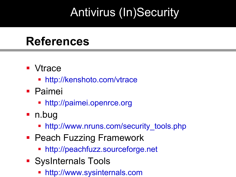#### **References**

- **Vtrace** 
	- <http://kenshoto.com/vtrace>
- **Paimei** 
	- [http://paimei.openrce.org](http://paimei.openrce.org/)
- n.bug
	- http://www.nruns.com/security tools.php
- **Peach Fuzzing Framework** 
	- [http://peachfuzz.sourceforge.net](http://peachfuzz.sourceforge.net/)
- **SysInternals Tools** 
	- [http://www.sysinternals.com](http://www.sysinternals.com/)